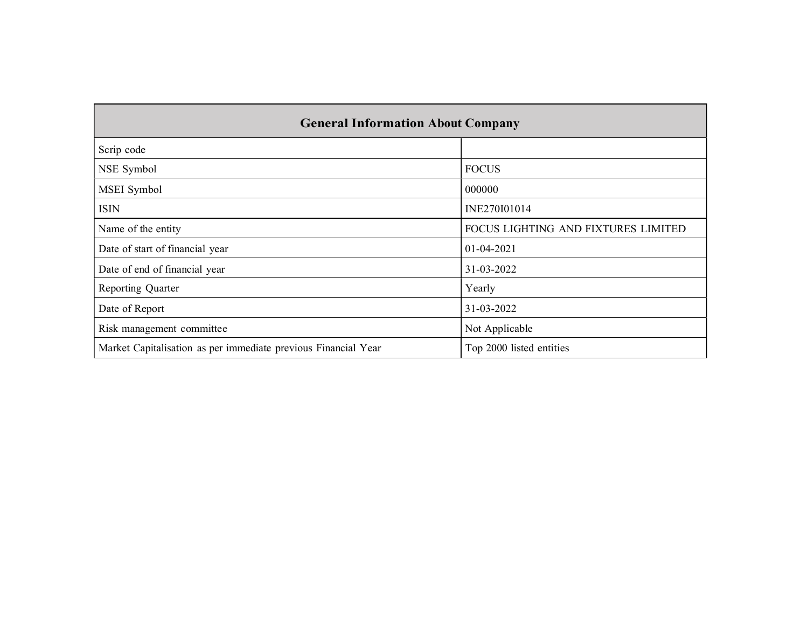| <b>General Information About Company</b>                       |                                     |
|----------------------------------------------------------------|-------------------------------------|
| Scrip code                                                     |                                     |
| NSE Symbol                                                     | <b>FOCUS</b>                        |
| MSEI Symbol                                                    | 000000                              |
| <b>ISIN</b>                                                    | INE270I01014                        |
| Name of the entity                                             | FOCUS LIGHTING AND FIXTURES LIMITED |
| Date of start of financial year                                | 01-04-2021                          |
| Date of end of financial year                                  | 31-03-2022                          |
| Reporting Quarter                                              | Yearly                              |
| Date of Report                                                 | 31-03-2022                          |
| Risk management committee                                      | Not Applicable                      |
| Market Capitalisation as per immediate previous Financial Year | Top 2000 listed entities            |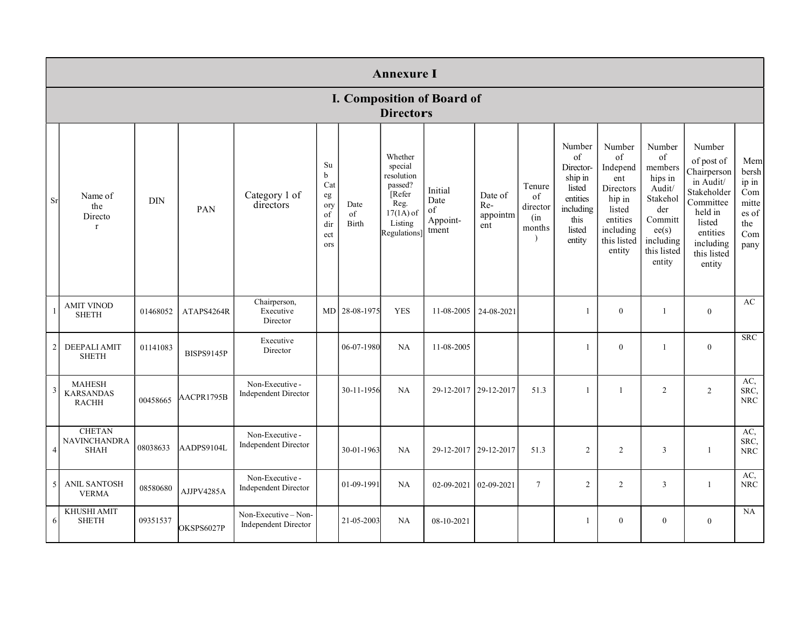|                |                                                     |          |                   |                                                   |                                                                  |                     | <b>Annexure I</b>                                                                                                |                                            |                                   |                                           |                                                                                                     |                                                                                                                           |                                                                                                                           |                                                                                                                                                     |                                                                      |
|----------------|-----------------------------------------------------|----------|-------------------|---------------------------------------------------|------------------------------------------------------------------|---------------------|------------------------------------------------------------------------------------------------------------------|--------------------------------------------|-----------------------------------|-------------------------------------------|-----------------------------------------------------------------------------------------------------|---------------------------------------------------------------------------------------------------------------------------|---------------------------------------------------------------------------------------------------------------------------|-----------------------------------------------------------------------------------------------------------------------------------------------------|----------------------------------------------------------------------|
|                |                                                     |          |                   |                                                   |                                                                  |                     | <b>Directors</b>                                                                                                 | I. Composition of Board of                 |                                   |                                           |                                                                                                     |                                                                                                                           |                                                                                                                           |                                                                                                                                                     |                                                                      |
| Sr             | Name of<br>the<br>Directo<br>$\mathbf{r}$           | DIN      | PAN               | Category 1 of<br>directors                        | Su<br>$\mathbf b$<br>Cat<br>eg<br>ory<br>of<br>dir<br>ect<br>ors | Date<br>of<br>Birth | Whether<br>special<br>resolution<br>passed?<br>Refer<br>Reg.<br>$17(1\overline{A})$ of<br>Listing<br>Regulations | Initial<br>Date<br>of<br>Appoint-<br>tment | Date of<br>Re-<br>appointm<br>ent | Tenure<br>of<br>director<br>(in<br>months | Number<br>of<br>Director-<br>ship in<br>listed<br>entities<br>including<br>this<br>listed<br>entity | Number<br>of<br>Independ<br>ent<br><b>Directors</b><br>hip in<br>listed<br>entities<br>including<br>this listed<br>entity | Number<br>of<br>members<br>hips in<br>Audit/<br>Stakehol<br>der<br>Committ<br>ee(s)<br>including<br>this listed<br>entity | Number<br>of post of<br>Chairperson<br>in Audit/<br>Stakeholder<br>Committee<br>held in<br>listed<br>entities<br>including<br>this listed<br>entity | Mem<br>bersh<br>ip in<br>Com<br>mitte<br>es of<br>the<br>Com<br>pany |
|                | <b>AMIT VINOD</b><br><b>SHETH</b>                   | 01468052 | ATAPS4264R        | Chairperson,<br>Executive<br>Director             |                                                                  | MD 28-08-1975       | <b>YES</b>                                                                                                       | 11-08-2005                                 | 24-08-2021                        |                                           |                                                                                                     | $\theta$                                                                                                                  | $\mathbf{1}$                                                                                                              | $\overline{0}$                                                                                                                                      | AC                                                                   |
| $\overline{2}$ | DEEPALI AMIT<br><b>SHETH</b>                        | 01141083 | <b>BISPS9145P</b> | Executive<br>Director                             |                                                                  | 06-07-1980          | NA                                                                                                               | 11-08-2005                                 |                                   |                                           | $\mathbf{1}$                                                                                        | $\mathbf{0}$                                                                                                              | $\mathbf{1}$                                                                                                              | $\mathbf{0}$                                                                                                                                        | <b>SRC</b>                                                           |
| 3              | <b>MAHESH</b><br><b>KARSANDAS</b><br><b>RACHH</b>   | 00458665 | AACPR1795B        | Non-Executive -<br>Independent Director           |                                                                  | 30-11-1956          | <b>NA</b>                                                                                                        | 29-12-2017 29-12-2017                      |                                   | 51.3                                      | $\mathbf{1}$                                                                                        | $\mathbf{1}$                                                                                                              | 2                                                                                                                         | 2                                                                                                                                                   | AC,<br>SRC,<br>${\rm NRC}$                                           |
| $\overline{4}$ | <b>CHETAN</b><br><b>NAVINCHANDRA</b><br><b>SHAH</b> | 08038633 | AADPS9104L        | Non-Executive -<br><b>Independent Director</b>    |                                                                  | 30-01-1963          | NA                                                                                                               | 29-12-2017 29-12-2017                      |                                   | 51.3                                      | 2                                                                                                   | 2                                                                                                                         | 3                                                                                                                         | $\mathbf{1}$                                                                                                                                        | AC,<br>SRC,<br><b>NRC</b>                                            |
| 5 <sup>1</sup> | <b>ANIL SANTOSH</b><br><b>VERMA</b>                 | 08580680 | AJJPV4285A        | Non-Executive -<br><b>Independent Director</b>    |                                                                  | 01-09-1991          | NA                                                                                                               | $02-09-2021$ 02-09-2021                    |                                   | $\tau$                                    | 2                                                                                                   | 2                                                                                                                         | 3                                                                                                                         | 1                                                                                                                                                   | AC,<br><b>NRC</b>                                                    |
| 6              | KHUSHI AMIT<br><b>SHETH</b>                         | 09351537 | OKSPS6027P        | Non-Executive-Non-<br><b>Independent Director</b> |                                                                  | 21-05-2003          | NA                                                                                                               | 08-10-2021                                 |                                   |                                           |                                                                                                     | $\mathbf{0}$                                                                                                              | $\mathbf{0}$                                                                                                              | $\mathbf{0}$                                                                                                                                        | NA                                                                   |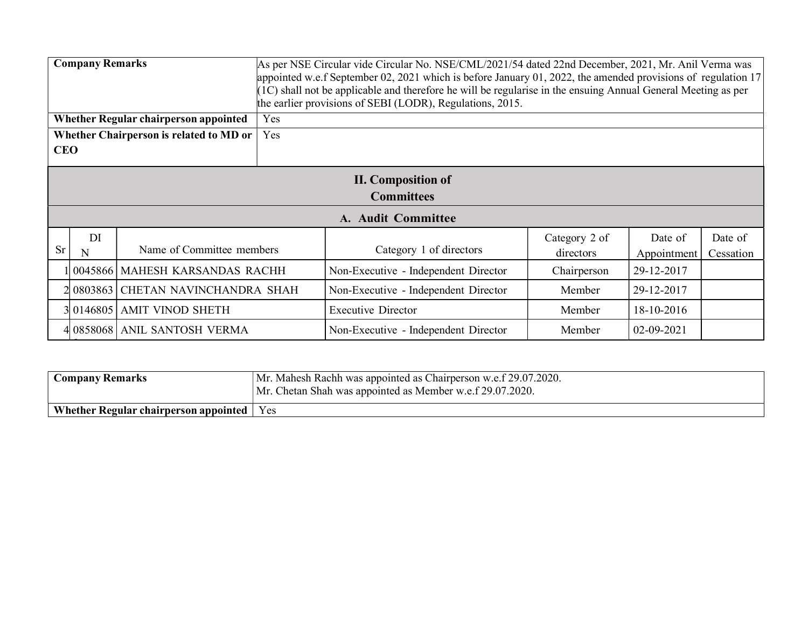|            | <b>Company Remarks</b><br>As per NSE Circular vide Circular No. NSE/CML/2021/54 dated 22nd December, 2021, Mr. Anil Verma was<br>appointed w.e.f September 02, 2021 which is before January 01, 2022, the amended provisions of regulation 17<br>(1C) shall not be applicable and therefore he will be regularise in the ensuing Annual General Meeting as per<br>the earlier provisions of SEBI (LODR), Regulations, 2015. |                                              |     |                                                |                            |                        |                      |  |  |
|------------|-----------------------------------------------------------------------------------------------------------------------------------------------------------------------------------------------------------------------------------------------------------------------------------------------------------------------------------------------------------------------------------------------------------------------------|----------------------------------------------|-----|------------------------------------------------|----------------------------|------------------------|----------------------|--|--|
|            |                                                                                                                                                                                                                                                                                                                                                                                                                             | <b>Whether Regular chairperson appointed</b> | Yes |                                                |                            |                        |                      |  |  |
|            |                                                                                                                                                                                                                                                                                                                                                                                                                             | Whether Chairperson is related to MD or      | Yes |                                                |                            |                        |                      |  |  |
| <b>CEO</b> |                                                                                                                                                                                                                                                                                                                                                                                                                             |                                              |     |                                                |                            |                        |                      |  |  |
|            |                                                                                                                                                                                                                                                                                                                                                                                                                             |                                              |     | <b>II.</b> Composition of<br><b>Committees</b> |                            |                        |                      |  |  |
|            |                                                                                                                                                                                                                                                                                                                                                                                                                             |                                              |     | A. Audit Committee                             |                            |                        |                      |  |  |
| <b>Sr</b>  | DI<br>N                                                                                                                                                                                                                                                                                                                                                                                                                     | Name of Committee members                    |     | Category 1 of directors                        | Category 2 of<br>directors | Date of<br>Appointment | Date of<br>Cessation |  |  |
|            |                                                                                                                                                                                                                                                                                                                                                                                                                             | 1 0045866   MAHESH KARSANDAS RACHH           |     | Non-Executive - Independent Director           | Chairperson                | 29-12-2017             |                      |  |  |
|            |                                                                                                                                                                                                                                                                                                                                                                                                                             | 2 0803863 CHETAN NAVINCHANDRA SHAH           |     | Non-Executive - Independent Director           | Member                     | 29-12-2017             |                      |  |  |
|            |                                                                                                                                                                                                                                                                                                                                                                                                                             | 3 0146805   AMIT VINOD SHETH                 |     | <b>Executive Director</b>                      | Member                     | 18-10-2016             |                      |  |  |
|            |                                                                                                                                                                                                                                                                                                                                                                                                                             | 4 0858068   ANIL SANTOSH VERMA               |     | Non-Executive - Independent Director           | Member                     | 02-09-2021             |                      |  |  |

| <b>Company Remarks</b>                      | Mr. Mahesh Rachh was appointed as Chairperson w.e.f 29.07.2020.<br>Mr. Chetan Shah was appointed as Member w.e.f 29.07.2020. |
|---------------------------------------------|------------------------------------------------------------------------------------------------------------------------------|
| Whether Regular chairperson appointed   Yes |                                                                                                                              |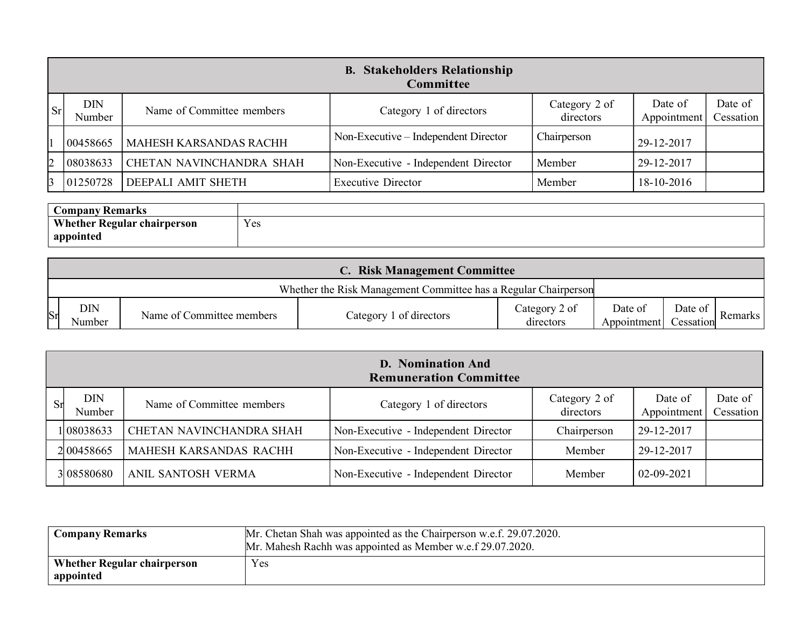|           |                      |                                 | <b>B. Stakeholders Relationship</b><br><b>Committee</b> |                            |                        |                      |
|-----------|----------------------|---------------------------------|---------------------------------------------------------|----------------------------|------------------------|----------------------|
| $ S_{r} $ | <b>DIN</b><br>Number | Name of Committee members       | Category 1 of directors                                 | Category 2 of<br>directors | Date of<br>Appointment | Date of<br>Cessation |
|           | 00458665             | <b>MAHESH KARSANDAS RACHH</b>   | Non-Executive – Independent Director                    | Chairperson                | 29-12-2017             |                      |
|           | 08038633             | <b>CHETAN NAVINCHANDRA SHAH</b> | Non-Executive - Independent Director                    | Member                     | 29-12-2017             |                      |
|           | 01250728             | DEEPALI AMIT SHETH              | <b>Executive Director</b>                               | Member                     | 18-10-2016             |                      |

| <b>Company Remarks</b>             |     |
|------------------------------------|-----|
| <b>Whether Regular chairperson</b> | Yes |
| appointed                          |     |

|            |                      |                           | <b>C. Risk Management Committee</b>                             |                            |                        |                        |           |
|------------|----------------------|---------------------------|-----------------------------------------------------------------|----------------------------|------------------------|------------------------|-----------|
|            |                      |                           | Whether the Risk Management Committee has a Regular Chairperson |                            |                        |                        |           |
| <b>S</b> r | <b>DIN</b><br>Number | Name of Committee members | Category 1 of directors                                         | Category 2 of<br>directors | Date of<br>Appointment | Date of 1<br>Cessation | Remarks I |

|                                                         |                                     |                                    |                            | on Encounte macpenaem Bnocton                                   |                        |                            |         |                        |                      |
|---------------------------------------------------------|-------------------------------------|------------------------------------|----------------------------|-----------------------------------------------------------------|------------------------|----------------------------|---------|------------------------|----------------------|
| R                                                       | 01250728                            | DEEPALI AMIT SHETH                 |                            | <b>Executive Director</b>                                       |                        | Member                     |         | 18-10-2016             |                      |
|                                                         | <b>Company Remarks</b><br>appointed | <b>Whether Regular chairperson</b> | Yes                        |                                                                 |                        |                            |         |                        |                      |
|                                                         |                                     |                                    |                            | <b>C. Risk Management Committee</b>                             |                        |                            |         |                        |                      |
|                                                         |                                     |                                    |                            | Whether the Risk Management Committee has a Regular Chairperson |                        |                            |         |                        |                      |
| <b>DIN</b><br>Sr<br>Name of Committee members<br>Number |                                     | Category 1 of directors            | Category 2 of<br>directors |                                                                 | Date of<br>Appointment | Date of<br>Cessation       | Remarks |                        |                      |
|                                                         |                                     |                                    |                            | <b>D. Nomination And</b><br><b>Remuneration Committee</b>       |                        |                            |         |                        |                      |
| $S_I$                                                   | <b>DIN</b><br>Number                | Name of Committee members          |                            | Category 1 of directors                                         |                        | Category 2 of<br>directors |         | Date of<br>Appointment | Date of<br>Cessation |
|                                                         | 108038633                           | CHETAN NAVINCHANDRA SHAH           |                            | Non-Executive - Independent Director                            |                        | Chairperson                |         | 29-12-2017             |                      |
|                                                         | 200458665                           | MAHESH KARSANDAS RACHH             |                            | Non-Executive - Independent Director                            |                        | Member                     |         | 29-12-2017             |                      |
|                                                         | 08580680                            | ANIL SANTOSH VERMA                 |                            | Non-Executive - Independent Director                            |                        | Member                     |         | 02-09-2021             |                      |

| <b>Company Remarks</b>                          | Mr. Chetan Shah was appointed as the Chairperson w.e.f. 29.07.2020.<br>Mr. Mahesh Rachh was appointed as Member w.e.f 29.07.2020. |
|-------------------------------------------------|-----------------------------------------------------------------------------------------------------------------------------------|
| <b>Whether Regular chairperson</b><br>appointed | Yes                                                                                                                               |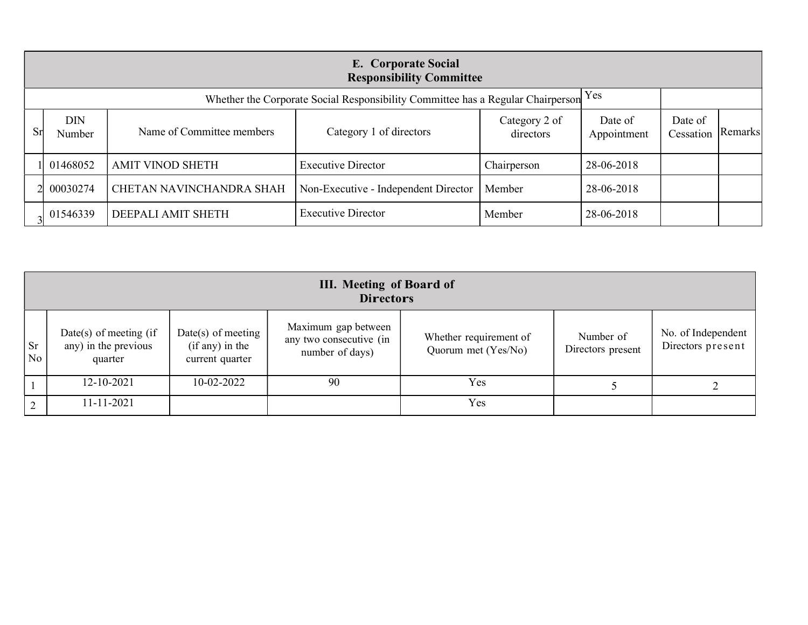|    |                      |                           | E. Corporate Social<br><b>Responsibility Committee</b>                              |                            |                        |                      |         |
|----|----------------------|---------------------------|-------------------------------------------------------------------------------------|----------------------------|------------------------|----------------------|---------|
|    |                      |                           | Whether the Corporate Social Responsibility Committee has a Regular Chairperson Yes |                            |                        |                      |         |
| Sr | <b>DIN</b><br>Number | Name of Committee members | Category 1 of directors                                                             | Category 2 of<br>directors | Date of<br>Appointment | Date of<br>Cessation | Remarks |
|    | 01468052             | <b>AMIT VINOD SHETH</b>   | <b>Executive Director</b>                                                           | Chairperson                | 28-06-2018             |                      |         |
|    | 00030274             | CHETAN NAVINCHANDRA SHAH  | Non-Executive - Independent Director                                                | Member                     | 28-06-2018             |                      |         |
|    | 01546339             | DEEPALI AMIT SHETH        | <b>Executive Director</b>                                                           | Member                     | 28-06-2018             |                      |         |

|                             | <b>III.</b> Meeting of Board of<br><b>Directors</b>          |                                                            |                                                                   |                                               |                                |                                         |  |  |
|-----------------------------|--------------------------------------------------------------|------------------------------------------------------------|-------------------------------------------------------------------|-----------------------------------------------|--------------------------------|-----------------------------------------|--|--|
| <b>Sr</b><br>N <sub>o</sub> | Date(s) of meeting $(if)$<br>any) in the previous<br>quarter | $Date(s)$ of meeting<br>(if any) in the<br>current quarter | Maximum gap between<br>any two consecutive (in<br>number of days) | Whether requirement of<br>Quorum met (Yes/No) | Number of<br>Directors present | No. of Independent<br>Directors present |  |  |
|                             | $12 - 10 - 2021$                                             | $10 - 02 - 2022$                                           | 90                                                                | Yes                                           |                                |                                         |  |  |
| $\gamma$                    | 11-11-2021                                                   |                                                            |                                                                   | Yes                                           |                                |                                         |  |  |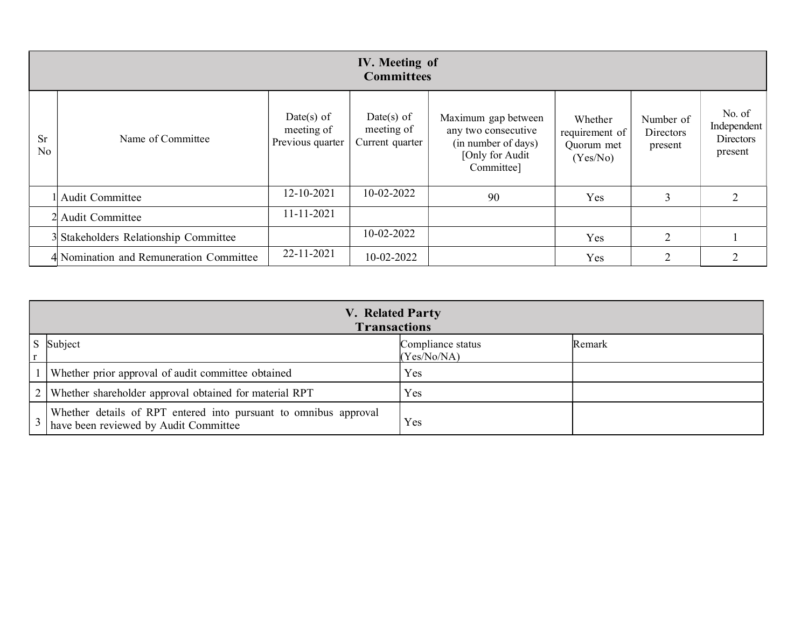|                             |                                         |                                              | <b>IV.</b> Meeting of<br><b>Committees</b>  |                                                                                                    |                                                     |                                   |                                               |
|-----------------------------|-----------------------------------------|----------------------------------------------|---------------------------------------------|----------------------------------------------------------------------------------------------------|-----------------------------------------------------|-----------------------------------|-----------------------------------------------|
| <b>Sr</b><br>N <sub>o</sub> | Name of Committee                       | Date(s) of<br>meeting of<br>Previous quarter | Date(s) of<br>meeting of<br>Current quarter | Maximum gap between<br>any two consecutive<br>(in number of days)<br>[Only for Audit<br>Committee] | Whether<br>requirement of<br>Quorum met<br>(Yes/No) | Number of<br>Directors<br>present | No. of<br>Independent<br>Directors<br>present |
|                             | Audit Committee                         | 12-10-2021                                   | 10-02-2022                                  | 90                                                                                                 | Yes                                                 | 3                                 | $\overline{2}$                                |
|                             | 2 Audit Committee                       | 11-11-2021                                   |                                             |                                                                                                    |                                                     |                                   |                                               |
|                             | 3 Stakeholders Relationship Committee   |                                              | 10-02-2022                                  |                                                                                                    | Yes                                                 | $\overline{2}$                    |                                               |
|                             | 4 Nomination and Remuneration Committee | 22-11-2021                                   | 10-02-2022                                  |                                                                                                    | Yes                                                 | ◠                                 | $\overline{2}$                                |

| V. Related Party<br><b>Transactions</b>                                                                   |                                  |        |  |  |  |
|-----------------------------------------------------------------------------------------------------------|----------------------------------|--------|--|--|--|
| S Subject                                                                                                 | Compliance status<br>(Yes/No/NA) | Remark |  |  |  |
| Whether prior approval of audit committee obtained                                                        | Yes                              |        |  |  |  |
| 2   Whether shareholder approval obtained for material RPT                                                | Yes                              |        |  |  |  |
| Whether details of RPT entered into pursuant to omnibus approval<br>have been reviewed by Audit Committee | <b>Yes</b>                       |        |  |  |  |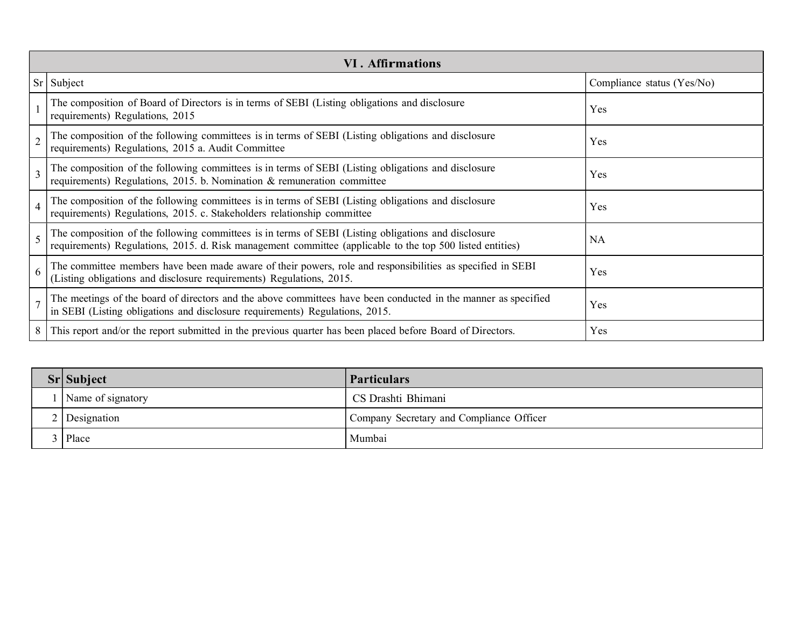| <b>VI. Affirmations</b>                                                                                                                                                                                          |                            |  |  |
|------------------------------------------------------------------------------------------------------------------------------------------------------------------------------------------------------------------|----------------------------|--|--|
| Sr Subject                                                                                                                                                                                                       | Compliance status (Yes/No) |  |  |
| The composition of Board of Directors is in terms of SEBI (Listing obligations and disclosure<br>requirements) Regulations, 2015                                                                                 | Yes                        |  |  |
| The composition of the following committees is in terms of SEBI (Listing obligations and disclosure<br>requirements) Regulations, 2015 a. Audit Committee                                                        | Yes                        |  |  |
| The composition of the following committees is in terms of SEBI (Listing obligations and disclosure requirements) Regulations, 2015. b. Nomination & remuneration committee                                      | Yes                        |  |  |
| The composition of the following committees is in terms of SEBI (Listing obligations and disclosure<br>requirements) Regulations, 2015. c. Stakeholders relationship committee                                   | Yes                        |  |  |
| The composition of the following committees is in terms of SEBI (Listing obligations and disclosure<br>requirements) Regulations, 2015. d. Risk management committee (applicable to the top 500 listed entities) | <b>NA</b>                  |  |  |
| The committee members have been made aware of their powers, role and responsibilities as specified in SEBI<br>6<br>(Listing obligations and disclosure requirements) Regulations, 2015.                          | Yes                        |  |  |
| The meetings of the board of directors and the above committees have been conducted in the manner as specified<br>in SEBI (Listing obligations and disclosure requirements) Regulations, 2015.                   | Yes                        |  |  |
| 8 This report and/or the report submitted in the previous quarter has been placed before Board of Directors.                                                                                                     | Yes                        |  |  |

| $Srl$ Subject     | <b>Particulars</b>                       |
|-------------------|------------------------------------------|
| Name of signatory | CS Drashti Bhimani                       |
| Designation       | Company Secretary and Compliance Officer |
| Place             | Mumbai                                   |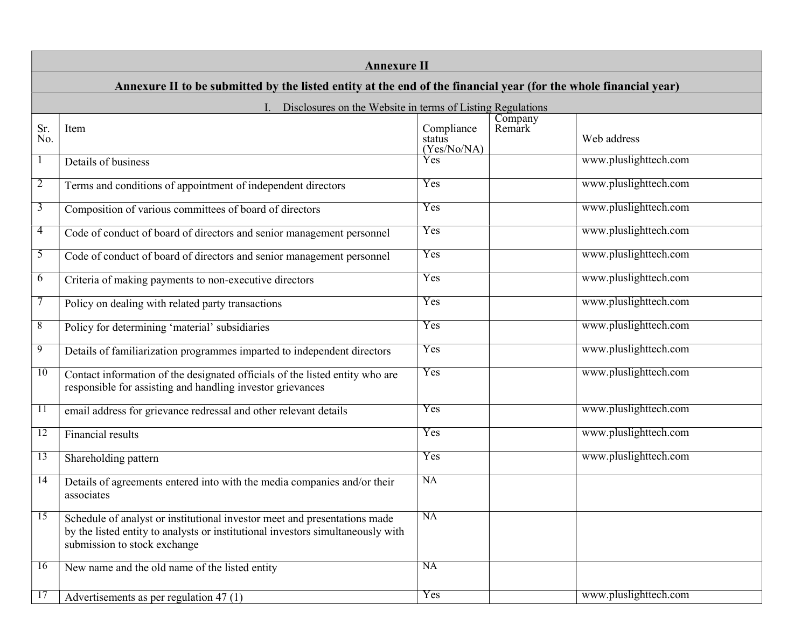|                 | <b>Annexure II</b>                                                                                                                                                                           |                                     |                   |                       |  |
|-----------------|----------------------------------------------------------------------------------------------------------------------------------------------------------------------------------------------|-------------------------------------|-------------------|-----------------------|--|
|                 | Annexure II to be submitted by the listed entity at the end of the financial year (for the whole financial year)                                                                             |                                     |                   |                       |  |
|                 | Disclosures on the Website in terms of Listing Regulations                                                                                                                                   |                                     |                   |                       |  |
| Sr.<br>No.      | Item                                                                                                                                                                                         | Compliance<br>status<br>(Yes/No/NA) | Company<br>Remark | Web address           |  |
| $\mathbf{1}$    | Details of business                                                                                                                                                                          | Yes                                 |                   | www.pluslighttech.com |  |
| 2               | Terms and conditions of appointment of independent directors                                                                                                                                 | Yes                                 |                   | www.pluslighttech.com |  |
| 3               | Composition of various committees of board of directors                                                                                                                                      | Yes                                 |                   | www.pluslighttech.com |  |
| 4               | Code of conduct of board of directors and senior management personnel                                                                                                                        | Yes                                 |                   | www.pluslighttech.com |  |
| 5               | Code of conduct of board of directors and senior management personnel                                                                                                                        | Yes                                 |                   | www.pluslighttech.com |  |
| 6               | Criteria of making payments to non-executive directors                                                                                                                                       | Yes                                 |                   | www.pluslighttech.com |  |
|                 | Policy on dealing with related party transactions                                                                                                                                            | Yes                                 |                   | www.pluslighttech.com |  |
| 8               | Policy for determining 'material' subsidiaries                                                                                                                                               | Yes                                 |                   | www.pluslighttech.com |  |
| 9               | Details of familiarization programmes imparted to independent directors                                                                                                                      | Yes                                 |                   | www.pluslighttech.com |  |
| 10              | Contact information of the designated officials of the listed entity who are<br>responsible for assisting and handling investor grievances                                                   | Yes                                 |                   | www.pluslighttech.com |  |
| $\overline{11}$ | email address for grievance redressal and other relevant details                                                                                                                             | Yes                                 |                   | www.pluslighttech.com |  |
| 12              | Financial results                                                                                                                                                                            | Yes                                 |                   | www.pluslighttech.com |  |
| $\overline{13}$ | Shareholding pattern                                                                                                                                                                         | Yes                                 |                   | www.pluslighttech.com |  |
| 14              | Details of agreements entered into with the media companies and/or their<br>associates                                                                                                       | NA                                  |                   |                       |  |
| $\overline{15}$ | Schedule of analyst or institutional investor meet and presentations made<br>by the listed entity to analysts or institutional investors simultaneously with<br>submission to stock exchange | NA                                  |                   |                       |  |
| 16              | New name and the old name of the listed entity                                                                                                                                               | <b>NA</b>                           |                   |                       |  |
| 17              | Advertisements as per regulation 47 (1)                                                                                                                                                      | Yes                                 |                   | www.pluslighttech.com |  |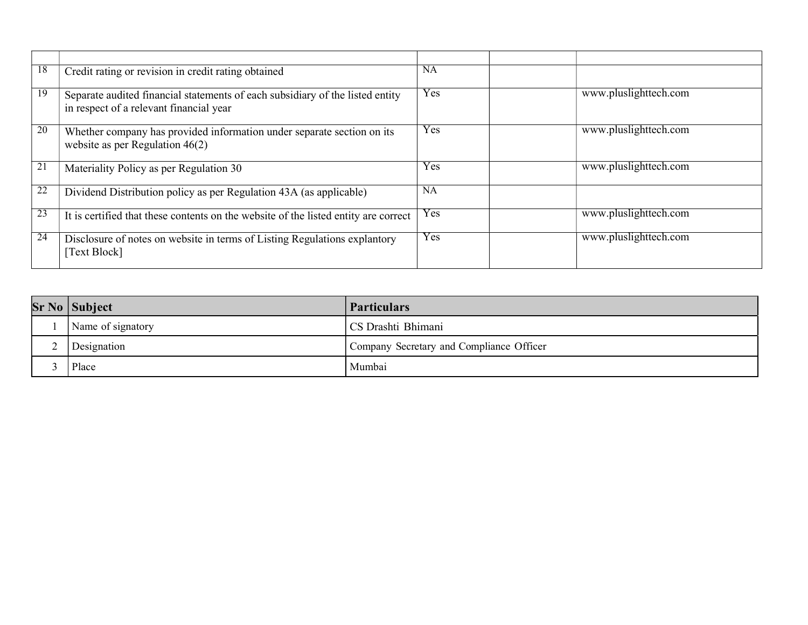| 18 | Credit rating or revision in credit rating obtained                                                                      | <b>NA</b> |                       |
|----|--------------------------------------------------------------------------------------------------------------------------|-----------|-----------------------|
| 19 | Separate audited financial statements of each subsidiary of the listed entity<br>in respect of a relevant financial year | Yes       | www.pluslighttech.com |
| 20 | Whether company has provided information under separate section on its<br>website as per Regulation $46(2)$              | Yes       | www.pluslighttech.com |
| 21 | Materiality Policy as per Regulation 30                                                                                  | Yes       | www.pluslighttech.com |
| 22 | Dividend Distribution policy as per Regulation 43A (as applicable)                                                       | <b>NA</b> |                       |
| 23 | It is certified that these contents on the website of the listed entity are correct                                      | Yes       | www.pluslighttech.com |
| 24 | Disclosure of notes on website in terms of Listing Regulations explantory<br>[Text Block]                                | Yes       | www.pluslighttech.com |

|   | $Sr$ No $ $ Subject | <b>Particulars</b>                       |
|---|---------------------|------------------------------------------|
|   | Name of signatory   | CS Drashti Bhimani                       |
| ∼ | Designation         | Company Secretary and Compliance Officer |
|   | Place               | Mumbai                                   |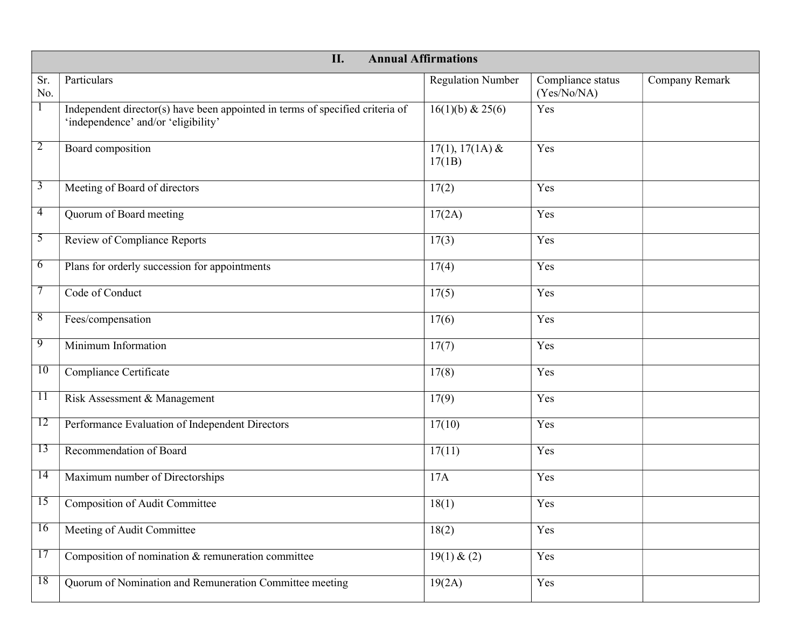|                | II.<br><b>Annual Affirmations</b>                                                                                    |                             |                                  |                |  |
|----------------|----------------------------------------------------------------------------------------------------------------------|-----------------------------|----------------------------------|----------------|--|
| Sr.<br>No.     | Particulars                                                                                                          | <b>Regulation Number</b>    | Compliance status<br>(Yes/No/NA) | Company Remark |  |
| -1             | Independent director(s) have been appointed in terms of specified criteria of<br>'independence' and/or 'eligibility' | 16(1)(b) & 25(6)            | Yes                              |                |  |
| $\overline{2}$ | Board composition                                                                                                    | $17(1), 17(1A)$ &<br>17(1B) | Yes                              |                |  |
| $\overline{3}$ | Meeting of Board of directors                                                                                        | 17(2)                       | Yes                              |                |  |
| $\overline{4}$ | Quorum of Board meeting                                                                                              | 17(2A)                      | Yes                              |                |  |
| 5              | Review of Compliance Reports                                                                                         | 17(3)                       | Yes                              |                |  |
| 6              | Plans for orderly succession for appointments                                                                        | 17(4)                       | Yes                              |                |  |
| 7              | Code of Conduct                                                                                                      | 17(5)                       | Yes                              |                |  |
| 8              | Fees/compensation                                                                                                    | 17(6)                       | Yes                              |                |  |
| 9              | Minimum Information                                                                                                  | 17(7)                       | Yes                              |                |  |
| 10             | Compliance Certificate                                                                                               | 17(8)                       | Yes                              |                |  |
| 11             | Risk Assessment & Management                                                                                         | 17(9)                       | Yes                              |                |  |
| 12             | Performance Evaluation of Independent Directors                                                                      | 17(10)                      | Yes                              |                |  |
| 13             | Recommendation of Board                                                                                              | 17(11)                      | Yes                              |                |  |
| 14             | Maximum number of Directorships                                                                                      | 17A                         | Yes                              |                |  |
| 15             | Composition of Audit Committee                                                                                       | 18(1)                       | Yes                              |                |  |
| 16             | Meeting of Audit Committee                                                                                           | 18(2)                       | Yes                              |                |  |
| 17             | Composition of nomination $&$ remuneration committee                                                                 | 19(1) & (2)                 | Yes                              |                |  |
| 18             | Quorum of Nomination and Remuneration Committee meeting                                                              | 19(2A)                      | Yes                              |                |  |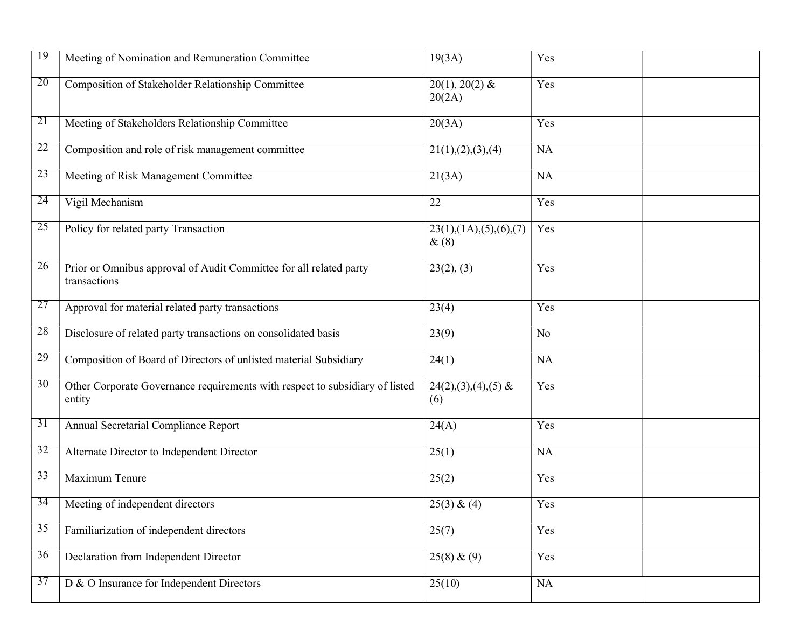| 19 | Meeting of Nomination and Remuneration Committee                                       | 19(3A)                         | Yes            |  |
|----|----------------------------------------------------------------------------------------|--------------------------------|----------------|--|
| 20 | Composition of Stakeholder Relationship Committee                                      | $20(1), 20(2)$ &<br>20(2A)     | Yes            |  |
| 21 | Meeting of Stakeholders Relationship Committee                                         | 20(3A)                         | Yes            |  |
| 22 | Composition and role of risk management committee                                      | 21(1), (2), (3), (4)           | <b>NA</b>      |  |
| 23 | Meeting of Risk Management Committee                                                   | 21(3A)                         | <b>NA</b>      |  |
| 24 | Vigil Mechanism                                                                        | 22                             | Yes            |  |
| 25 | Policy for related party Transaction                                                   | 23(1),(1A),(5),(6),(7)<br>&(8) | Yes            |  |
| 26 | Prior or Omnibus approval of Audit Committee for all related party<br>transactions     | 23(2), (3)                     | Yes            |  |
| 27 | Approval for material related party transactions                                       | 23(4)                          | Yes            |  |
| 28 | Disclosure of related party transactions on consolidated basis                         | 23(9)                          | N <sub>o</sub> |  |
| 29 | Composition of Board of Directors of unlisted material Subsidiary                      | 24(1)                          | <b>NA</b>      |  |
| 30 | Other Corporate Governance requirements with respect to subsidiary of listed<br>entity | $24(2),(3),(4),(5)$ &<br>(6)   | Yes            |  |
| 31 | Annual Secretarial Compliance Report                                                   | 24(A)                          | Yes            |  |
| 32 | Alternate Director to Independent Director                                             | 25(1)                          | <b>NA</b>      |  |
| 33 | Maximum Tenure                                                                         | 25(2)                          | Yes            |  |
| 34 | Meeting of independent directors                                                       | 25(3) & (4)                    | Yes            |  |
| 35 | Familiarization of independent directors                                               | 25(7)                          | Yes            |  |
| 36 | Declaration from Independent Director                                                  | 25(8) & (9)                    | Yes            |  |
| 37 | D & O Insurance for Independent Directors                                              | 25(10)                         | NA             |  |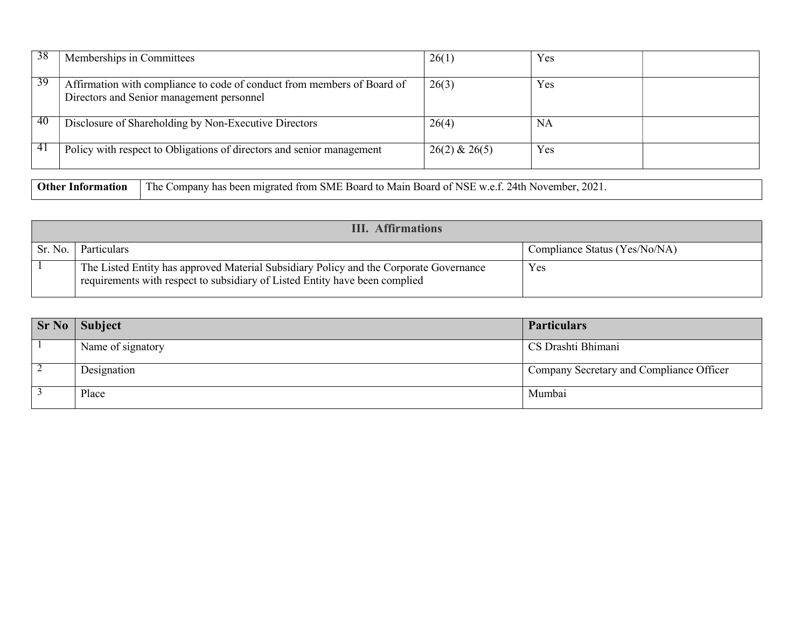| 38 | Memberships in Committees                                                                                            | 26(1)             | Yes |
|----|----------------------------------------------------------------------------------------------------------------------|-------------------|-----|
| 39 | Affirmation with compliance to code of conduct from members of Board of<br>Directors and Senior management personnel | 26(3)             | Yes |
| 40 | Disclosure of Shareholding by Non-Executive Directors                                                                | 26(4)             | NA  |
| 41 | Policy with respect to Obligations of directors and senior management                                                | $26(2)$ & $26(5)$ | Yes |

Other Information The Company has been migrated from SME Board to Main Board of NSE w.e.f. 24th November, 2021.

|         | <b>III.</b> Affirmations                                                                                                                                              |                               |  |  |
|---------|-----------------------------------------------------------------------------------------------------------------------------------------------------------------------|-------------------------------|--|--|
| Sr. No. | Particulars                                                                                                                                                           | Compliance Status (Yes/No/NA) |  |  |
|         | The Listed Entity has approved Material Subsidiary Policy and the Corporate Governance<br>requirements with respect to subsidiary of Listed Entity have been complied | Yes                           |  |  |

| <b>Sr No</b> | Subject           | <b>Particulars</b>                       |
|--------------|-------------------|------------------------------------------|
|              | Name of signatory | CS Drashti Bhimani                       |
|              | Designation       | Company Secretary and Compliance Officer |
|              | Place             | Mumbai                                   |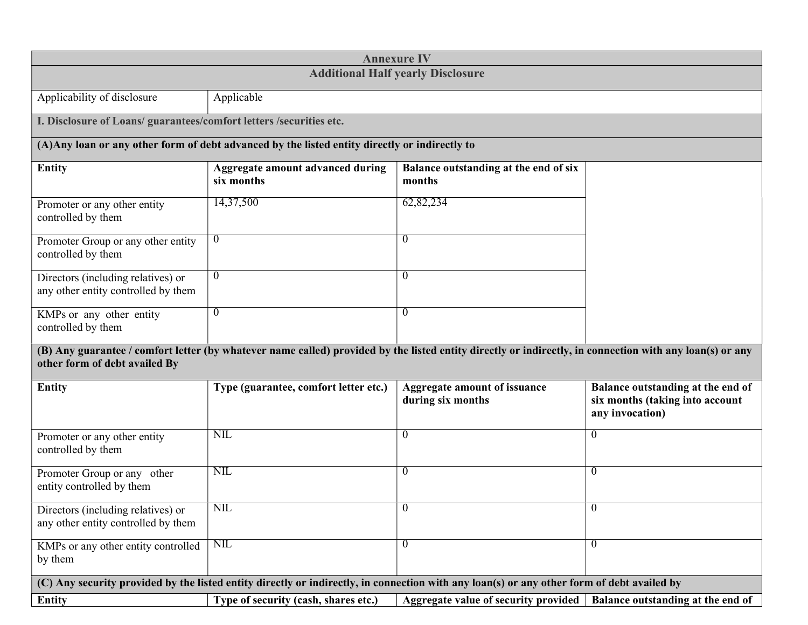| <b>Annexure IV</b>                                                                                                                         |                                                                                                |                                                                                                                                                          |                                                                                         |  |  |
|--------------------------------------------------------------------------------------------------------------------------------------------|------------------------------------------------------------------------------------------------|----------------------------------------------------------------------------------------------------------------------------------------------------------|-----------------------------------------------------------------------------------------|--|--|
| <b>Additional Half yearly Disclosure</b>                                                                                                   |                                                                                                |                                                                                                                                                          |                                                                                         |  |  |
| Applicability of disclosure                                                                                                                | Applicable                                                                                     |                                                                                                                                                          |                                                                                         |  |  |
| I. Disclosure of Loans/ guarantees/comfort letters /securities etc.                                                                        |                                                                                                |                                                                                                                                                          |                                                                                         |  |  |
|                                                                                                                                            | (A) Any loan or any other form of debt advanced by the listed entity directly or indirectly to |                                                                                                                                                          |                                                                                         |  |  |
| <b>Entity</b>                                                                                                                              | Aggregate amount advanced during<br>six months                                                 | Balance outstanding at the end of six<br>months                                                                                                          |                                                                                         |  |  |
| Promoter or any other entity<br>controlled by them                                                                                         | 14,37,500                                                                                      | 62,82,234                                                                                                                                                |                                                                                         |  |  |
| Promoter Group or any other entity<br>controlled by them                                                                                   | $\theta$                                                                                       | $\theta$                                                                                                                                                 |                                                                                         |  |  |
| Directors (including relatives) or<br>any other entity controlled by them                                                                  | $\theta$                                                                                       | $\theta$                                                                                                                                                 |                                                                                         |  |  |
| KMPs or any other entity<br>controlled by them                                                                                             | $\theta$                                                                                       | $\overline{0}$                                                                                                                                           |                                                                                         |  |  |
| other form of debt availed By                                                                                                              |                                                                                                | (B) Any guarantee / comfort letter (by whatever name called) provided by the listed entity directly or indirectly, in connection with any loan(s) or any |                                                                                         |  |  |
| <b>Entity</b>                                                                                                                              | Type (guarantee, comfort letter etc.)                                                          | Aggregate amount of issuance<br>during six months                                                                                                        | Balance outstanding at the end of<br>six months (taking into account<br>any invocation) |  |  |
| Promoter or any other entity<br>controlled by them                                                                                         | NIL                                                                                            | $\overline{0}$                                                                                                                                           | $\theta$                                                                                |  |  |
| Promoter Group or any other<br>entity controlled by them                                                                                   | <b>NIL</b>                                                                                     | $\overline{0}$                                                                                                                                           | $\theta$                                                                                |  |  |
| Directors (including relatives) or<br>any other entity controlled by them                                                                  | NIL                                                                                            | U                                                                                                                                                        | $\mathbf{0}$                                                                            |  |  |
| KMPs or any other entity controlled<br>by them                                                                                             | NIL                                                                                            | $\overline{0}$                                                                                                                                           | $\theta$                                                                                |  |  |
| (C) Any security provided by the listed entity directly or indirectly, in connection with any loan(s) or any other form of debt availed by |                                                                                                |                                                                                                                                                          |                                                                                         |  |  |
| <b>Entity</b>                                                                                                                              | Type of security (cash, shares etc.)                                                           | Aggregate value of security provided                                                                                                                     | Balance outstanding at the end of                                                       |  |  |